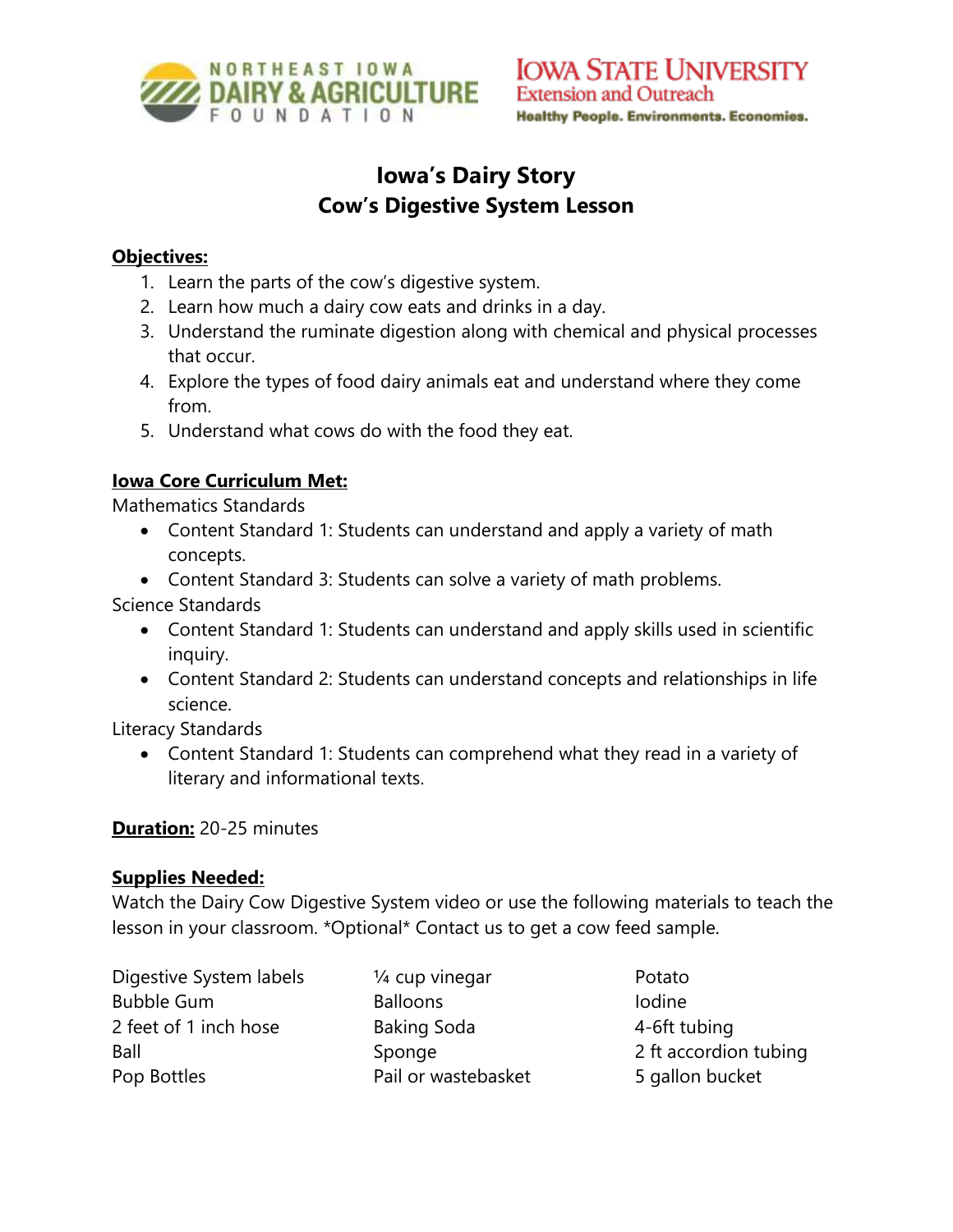

# **Iowa's Dairy Story Cow's Digestive System Lesson**

#### **Objectives:**

- 1. Learn the parts of the cow's digestive system.
- 2. Learn how much a dairy cow eats and drinks in a day.
- 3. Understand the ruminate digestion along with chemical and physical processes that occur.
- 4. Explore the types of food dairy animals eat and understand where they come from.
- 5. Understand what cows do with the food they eat.

## **Iowa Core Curriculum Met:**

Mathematics Standards

- Content Standard 1: Students can understand and apply a variety of math concepts.
- Content Standard 3: Students can solve a variety of math problems.

Science Standards

- Content Standard 1: Students can understand and apply skills used in scientific inquiry.
- Content Standard 2: Students can understand concepts and relationships in life science.

Literacy Standards

• Content Standard 1: Students can comprehend what they read in a variety of literary and informational texts.

## **Duration:** 20-25 minutes

## **Supplies Needed:**

Watch the Dairy Cow Digestive System video or use the following materials to teach the lesson in your classroom. \*Optional\* Contact us to get a cow feed sample.

Digestive System labels Bubble Gum 2 feet of 1 inch hose Ball Pop Bottles

¼ cup vinegar Balloons Baking Soda Sponge Pail or wastebasket

Potato Iodine 4-6ft tubing 2 ft accordion tubing 5 gallon bucket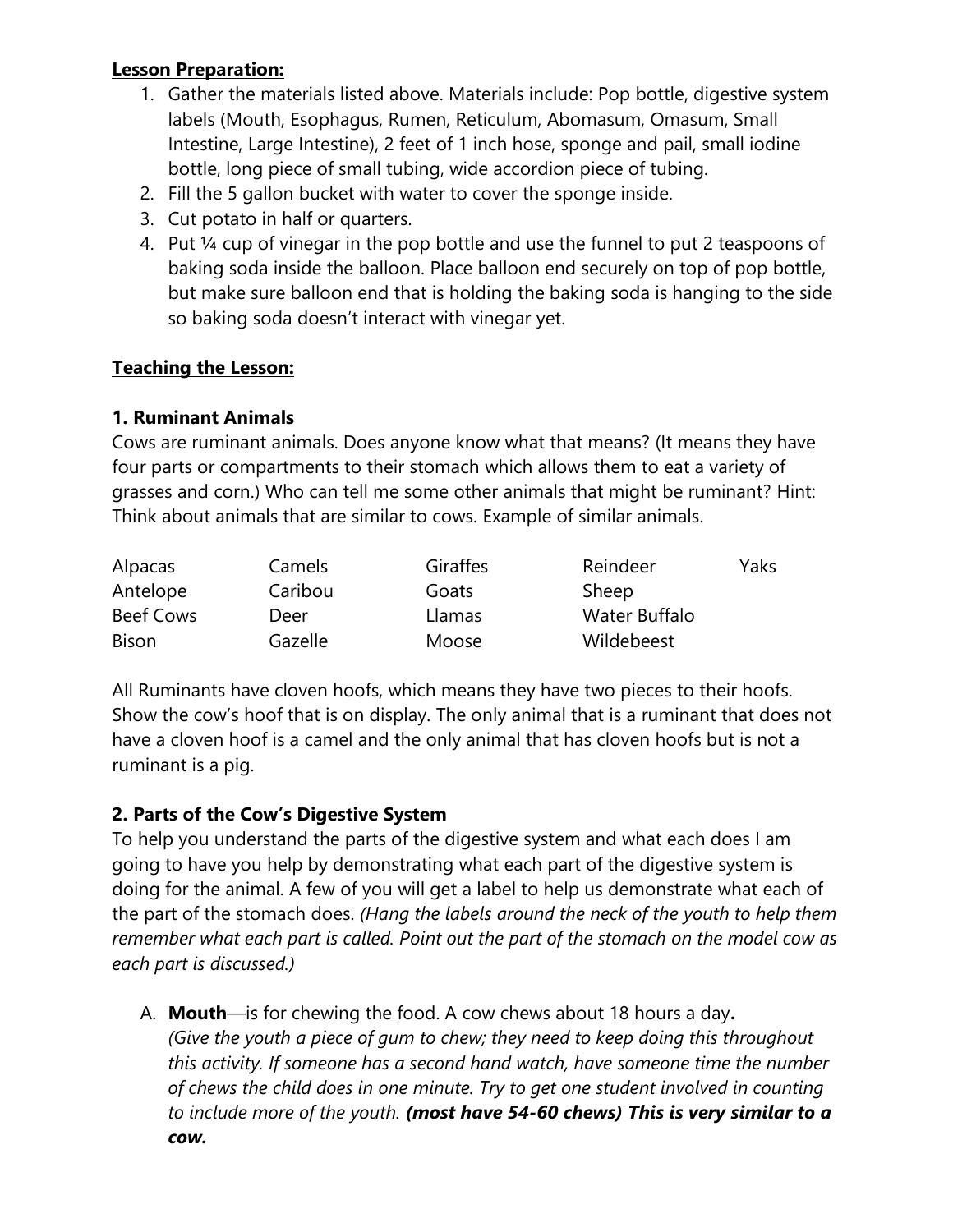#### **Lesson Preparation:**

- 1. Gather the materials listed above. Materials include: Pop bottle, digestive system labels (Mouth, Esophagus, Rumen, Reticulum, Abomasum, Omasum, Small Intestine, Large Intestine), 2 feet of 1 inch hose, sponge and pail, small iodine bottle, long piece of small tubing, wide accordion piece of tubing.
- 2. Fill the 5 gallon bucket with water to cover the sponge inside.
- 3. Cut potato in half or quarters.
- 4. Put ¼ cup of vinegar in the pop bottle and use the funnel to put 2 teaspoons of baking soda inside the balloon. Place balloon end securely on top of pop bottle, but make sure balloon end that is holding the baking soda is hanging to the side so baking soda doesn't interact with vinegar yet.

## **Teaching the Lesson:**

#### **1. Ruminant Animals**

Cows are ruminant animals. Does anyone know what that means? (It means they have four parts or compartments to their stomach which allows them to eat a variety of grasses and corn.) Who can tell me some other animals that might be ruminant? Hint: Think about animals that are similar to cows. Example of similar animals.

| Alpacas      | Camels  | Giraffes | Reindeer      | Yaks |
|--------------|---------|----------|---------------|------|
| Antelope     | Caribou | Goats    | Sheep         |      |
| Beef Cows    | Deer    | Llamas   | Water Buffalo |      |
| <b>Bison</b> | Gazelle | Moose    | Wildebeest    |      |

All Ruminants have cloven hoofs, which means they have two pieces to their hoofs. Show the cow's hoof that is on display. The only animal that is a ruminant that does not have a cloven hoof is a camel and the only animal that has cloven hoofs but is not a ruminant is a pig.

## **2. Parts of the Cow's Digestive System**

To help you understand the parts of the digestive system and what each does I am going to have you help by demonstrating what each part of the digestive system is doing for the animal. A few of you will get a label to help us demonstrate what each of the part of the stomach does. *(Hang the labels around the neck of the youth to help them remember what each part is called. Point out the part of the stomach on the model cow as each part is discussed.)*

A. **Mouth**—is for chewing the food. A cow chews about 18 hours a day**.** *(Give the youth a piece of gum to chew; they need to keep doing this throughout this activity. If someone has a second hand watch, have someone time the number of chews the child does in one minute. Try to get one student involved in counting to include more of the youth. (most have 54-60 chews) This is very similar to a cow.*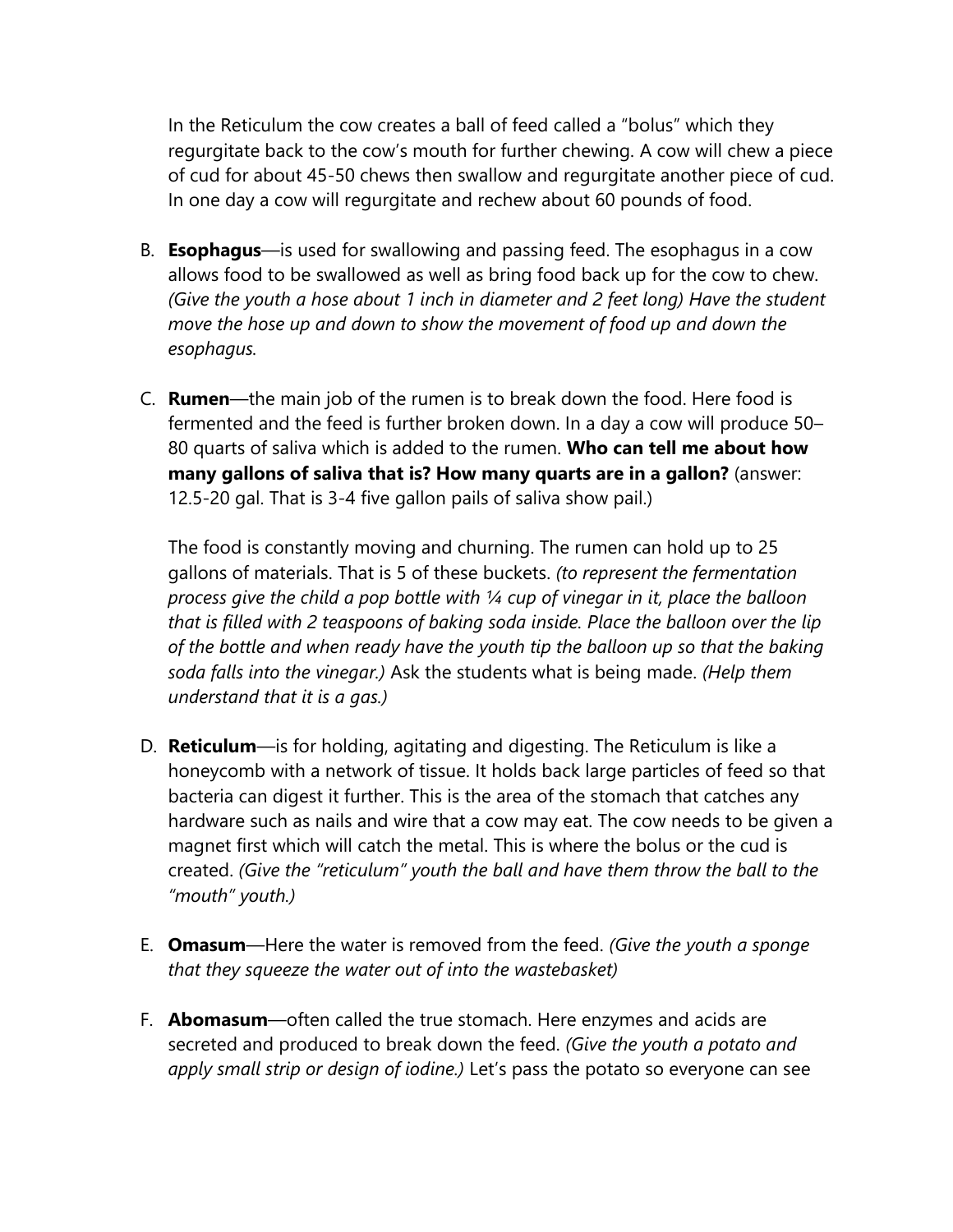In the Reticulum the cow creates a ball of feed called a "bolus" which they regurgitate back to the cow's mouth for further chewing. A cow will chew a piece of cud for about 45-50 chews then swallow and regurgitate another piece of cud. In one day a cow will regurgitate and rechew about 60 pounds of food.

- B. **Esophagus**—is used for swallowing and passing feed. The esophagus in a cow allows food to be swallowed as well as bring food back up for the cow to chew. *(Give the youth a hose about 1 inch in diameter and 2 feet long) Have the student move the hose up and down to show the movement of food up and down the esophagus.*
- C. **Rumen**—the main job of the rumen is to break down the food. Here food is fermented and the feed is further broken down. In a day a cow will produce 50– 80 quarts of saliva which is added to the rumen. **Who can tell me about how many gallons of saliva that is? How many quarts are in a gallon?** (answer: 12.5-20 gal. That is 3-4 five gallon pails of saliva show pail.)

The food is constantly moving and churning. The rumen can hold up to 25 gallons of materials. That is 5 of these buckets. *(to represent the fermentation process give the child a pop bottle with ¼ cup of vinegar in it, place the balloon that is filled with 2 teaspoons of baking soda inside. Place the balloon over the lip of the bottle and when ready have the youth tip the balloon up so that the baking soda falls into the vinegar.)* Ask the students what is being made. *(Help them understand that it is a gas.)*

- D. **Reticulum**—is for holding, agitating and digesting. The Reticulum is like a honeycomb with a network of tissue. It holds back large particles of feed so that bacteria can digest it further. This is the area of the stomach that catches any hardware such as nails and wire that a cow may eat. The cow needs to be given a magnet first which will catch the metal. This is where the bolus or the cud is created. *(Give the "reticulum" youth the ball and have them throw the ball to the "mouth" youth.)*
- E. **Omasum**—Here the water is removed from the feed. *(Give the youth a sponge that they squeeze the water out of into the wastebasket)*
- F. **Abomasum**—often called the true stomach. Here enzymes and acids are secreted and produced to break down the feed. *(Give the youth a potato and apply small strip or design of iodine.)* Let's pass the potato so everyone can see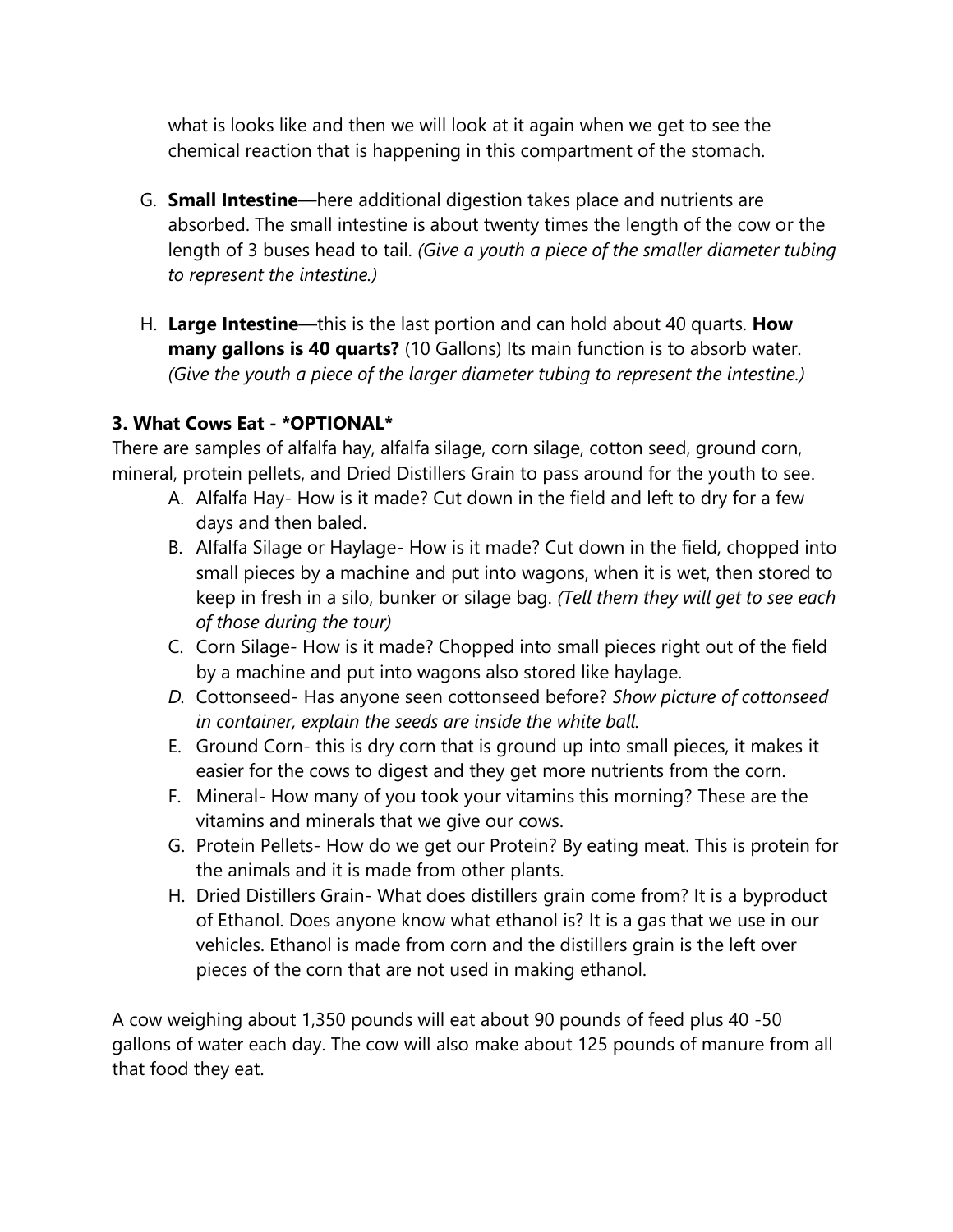what is looks like and then we will look at it again when we get to see the chemical reaction that is happening in this compartment of the stomach.

- G. **Small Intestine**—here additional digestion takes place and nutrients are absorbed. The small intestine is about twenty times the length of the cow or the length of 3 buses head to tail. *(Give a youth a piece of the smaller diameter tubing to represent the intestine.)*
- H. **Large Intestine**—this is the last portion and can hold about 40 quarts. **How many gallons is 40 quarts?** (10 Gallons) Its main function is to absorb water. *(Give the youth a piece of the larger diameter tubing to represent the intestine.)*

## **3. What Cows Eat - \*OPTIONAL\***

There are samples of alfalfa hay, alfalfa silage, corn silage, cotton seed, ground corn, mineral, protein pellets, and Dried Distillers Grain to pass around for the youth to see.

- A. Alfalfa Hay- How is it made? Cut down in the field and left to dry for a few days and then baled.
- B. Alfalfa Silage or Haylage- How is it made? Cut down in the field, chopped into small pieces by a machine and put into wagons, when it is wet, then stored to keep in fresh in a silo, bunker or silage bag. *(Tell them they will get to see each of those during the tour)*
- C. Corn Silage- How is it made? Chopped into small pieces right out of the field by a machine and put into wagons also stored like haylage.
- *D.* Cottonseed- Has anyone seen cottonseed before? *Show picture of cottonseed in container, explain the seeds are inside the white ball.*
- E. Ground Corn- this is dry corn that is ground up into small pieces, it makes it easier for the cows to digest and they get more nutrients from the corn.
- F. Mineral- How many of you took your vitamins this morning? These are the vitamins and minerals that we give our cows.
- G. Protein Pellets- How do we get our Protein? By eating meat. This is protein for the animals and it is made from other plants.
- H. Dried Distillers Grain- What does distillers grain come from? It is a byproduct of Ethanol. Does anyone know what ethanol is? It is a gas that we use in our vehicles. Ethanol is made from corn and the distillers grain is the left over pieces of the corn that are not used in making ethanol.

A cow weighing about 1,350 pounds will eat about 90 pounds of feed plus 40 -50 gallons of water each day. The cow will also make about 125 pounds of manure from all that food they eat.